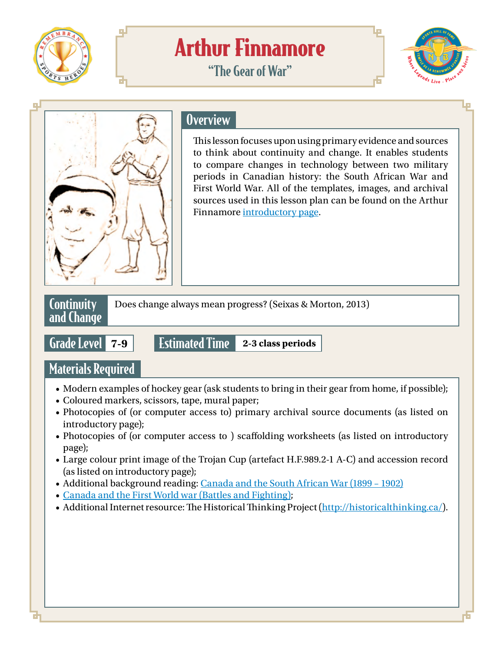

# Arthur Finnamore







### **Overview**

This lesson focuses upon using primary evidence and sources to think about continuity and change. It enables students to compare changes in technology between two military periods in Canadian history: the South African War and First World War. All of the templates, images, and archival sources used in this lesson plan can be found on the Arthur Finnamore [introductory page](https://www.nbsportshalloffame.com/sport-heroes).

**Continuity** and Change Does change always mean progress? (Seixas & Morton, 2013)

Grade Level **7-9** Estimated Time **2-3 class periods**

# Materials Required

- Modern examples of hockey gear (ask students to bring in their gear from home, if possible);
- Coloured markers, scissors, tape, mural paper;
- Photocopies of (or computer access to) primary archival source documents (as listed on introductory page);
- Photocopies of (or computer access to ) scaffolding worksheets (as listed on introductory page);
- Large colour print image of the Trojan Cup (artefact H.F.989.2-1 A-C) and accession record (as listed on introductory page);
- Additional background reading: Canada and the South African War (1899 1902)
- [Canada and the First World war \(Battles and Fighting\)](http://www.warmuseum.ca/firstworldwar/history/?target=118);
- Additional Internet resource: The Historical Thinking Project [\(http://historicalthinking.ca/](http://historicalthinking.ca/)).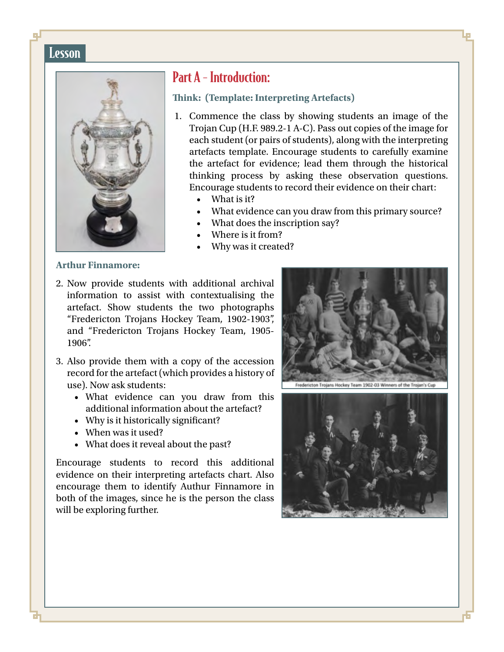### **Lesson**



### Part A - Introduction:

#### **Think: (Template: Interpreting Artefacts)**

- 1. Commence the class by showing students an image of the Trojan Cup (H.F. 989.2-1 A-C). Pass out copies of the image for each student (or pairs of students), along with the interpreting artefacts template. Encourage students to carefully examine the artefact for evidence; lead them through the historical thinking process by asking these observation questions. Encourage students to record their evidence on their chart:
	- What is it?
	- What evidence can you draw from this primary source?
	- What does the inscription say?
	- Where is it from?
	- Why was it created?

#### **Arthur Finnamore:**

- 2. Now provide students with additional archival information to assist with contextualising the artefact. Show students the two photographs "Fredericton Trojans Hockey Team, 1902-1903", and "Fredericton Trojans Hockey Team, 1905- 1906".
- 3. Also provide them with a copy of the accession record for the artefact (which provides a history of use). Now ask students:
	- What evidence can you draw from this additional information about the artefact?
	- Why is it historically significant?
	- When was it used?
	- What does it reveal about the past?

Encourage students to record this additional evidence on their interpreting artefacts chart. Also encourage them to identify Authur Finnamore in both of the images, since he is the person the class will be exploring further.



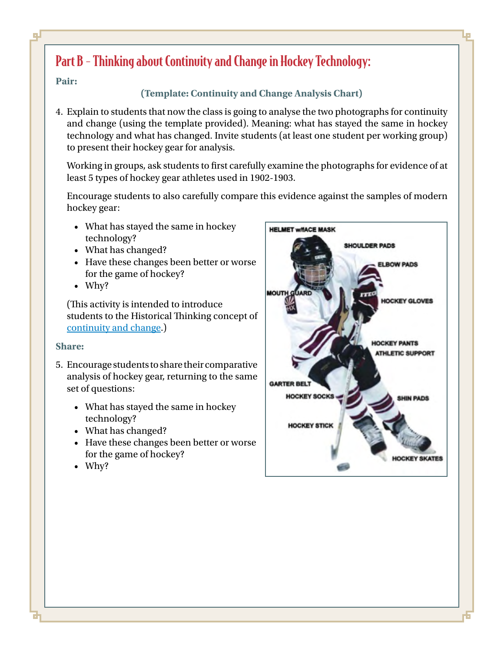# Part B - Thinking about Continuity and Change in Hockey Technology:

#### **Pair:**

#### **(Template: Continuity and Change Analysis Chart)**

4. Explain to students that now the class is going to analyse the two photographs for continuity and change (using the template provided). Meaning: what has stayed the same in hockey technology and what has changed. Invite students (at least one student per working group) to present their hockey gear for analysis.

Working in groups, ask students to first carefully examine the photographs for evidence of at least 5 types of hockey gear athletes used in 1902-1903.

Encourage students to also carefully compare this evidence against the samples of modern hockey gear:

- What has stayed the same in hockey technology?
- What has changed?
- Have these changes been better or worse for the game of hockey?
- Why?

(This activity is intended to introduce students to the Historical Thinking concept of [continuity and change](http://historicalthinking.ca/continuity-and-change).)

#### **Share:**

- 5. Encourage students to share their comparative analysis of hockey gear, returning to the same set of questions:
	- What has stayed the same in hockey technology?
	- What has changed?
	- Have these changes been better or worse for the game of hockey?
	- Why?

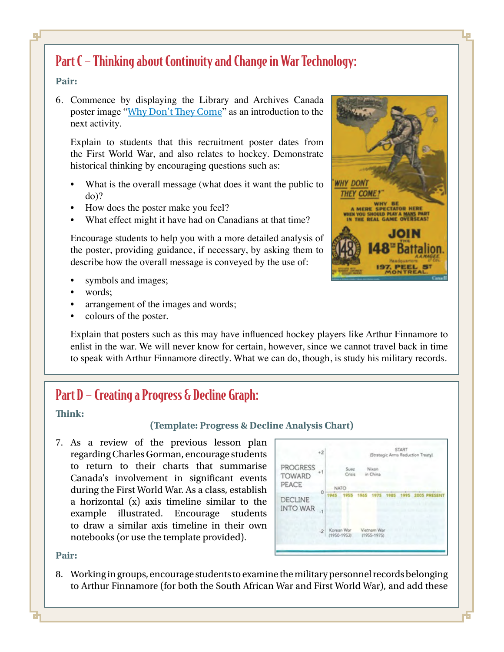# Part C – Thinking about Continuity and Change in War Technology:

#### **Pair:**

o L

6. Commence by displaying the Library and Archives Canada poster image "[Why Don't They Come](http://www.ww1propaganda.com/ww1-poster/why-dont-they-come-join-148th-battalion)" as an introduction to the next activity.

Explain to students that this recruitment poster dates from the First World War, and also relates to hockey. Demonstrate historical thinking by encouraging questions such as:

- What is the overall message (what does it want the public to do)?
- How does the poster make you feel?
- What effect might it have had on Canadians at that time?

Encourage students to help you with a more detailed analysis of the poster, providing guidance, if necessary, by asking them to describe how the overall message is conveyed by the use of:

- symbols and images;
- words;
- arrangement of the images and words;
- colours of the poster.



 Explain that posters such as this may have influenced hockey players like Arthur Finnamore to enlist in the war. We will never know for certain, however, since we cannot travel back in time to speak with Arthur Finnamore directly. What we can do, though, is study his military records.

# Part D – Creating a Progress & Decline Graph:

#### **Think:**

#### **(Template: Progress & Decline Analysis Chart)**

7. As a review of the previous lesson plan regarding Charles Gorman, encourage students to return to their charts that summarise Canada's involvement in significant events during the First World War. As a class, establish a horizontal (x) axis timeline similar to the example illustrated. Encourage students to draw a similar axis timeline in their own notebooks (or use the template provided).

|                                           | $+2$           | <b>START</b><br>(Strategic Arms Reduction Treaty)                           |
|-------------------------------------------|----------------|-----------------------------------------------------------------------------|
| <b>PROGRESS</b><br><b>TOWARD</b><br>PEACE | $+1$           | Nixon<br>Suez<br>Crisis<br>in China                                         |
| <b>DECLINE</b><br><b>INTO WAR</b>         | Ō              | <b>NATO</b><br>1955<br>1975<br>1965<br>1945<br>1985<br>2005 PRESENT<br>1995 |
|                                           | $\overline{2}$ | Korean War<br>Vietnam War<br>$(1955 - 1975)$<br>$(1950 - 1953)$             |

#### **Pair:**

8. Working in groups, encourage students to examine the military personnel records belonging to Arthur Finnamore (for both the South African War and First World War), and add these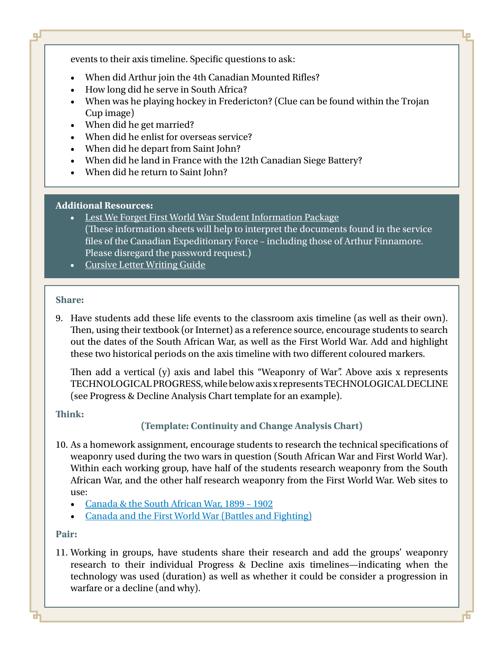q.

#### events to their axis timeline. Specific questions to ask:

- When did Arthur join the 4th Canadian Mounted Rifles?
- How long did he serve in South Africa?
- When was he playing hockey in Fredericton? (Clue can be found within the Trojan Cup image)
- When did he get married?
- When did he enlist for overseas service?
- When did he depart from Saint John?
- When did he land in France with the 12th Canadian Siege Battery?
- When did he return to Saint John?

#### **Additional Resources:**

- [Lest We Forget First World War Student Information Package](http://www.bac-lac.gc.ca/eng/discover/military-heritage/lest-we-forget/Pages/templates-supporting-documents.aspx) (These information sheets will help to interpret the documents found in the service files of the Canadian Expeditionary Force – including those of Arthur Finnamore. Please disregard the password request.)
- [Cursive Letter Writing Guide](http://nbsportshalloffame.com/remembrance/wp-content/uploads/sites/2/2015/12/cursive-writing-guide-letters.pdf)

#### **Share:**

9. Have students add these life events to the classroom axis timeline (as well as their own). Then, using their textbook (or Internet) as a reference source, encourage students to search out the dates of the South African War, as well as the First World War. Add and highlight these two historical periods on the axis timeline with two different coloured markers.

Then add a vertical (y) axis and label this "Weaponry of War". Above axis x represents TECHNOLOGICAL PROGRESS, while below axis x represents TECHNOLOGICAL DECLINE (see Progress & Decline Analysis Chart template for an example).

#### **Think:**

#### **(Template: Continuity and Change Analysis Chart)**

- 10. As a homework assignment, encourage students to research the technical specifications of weaponry used during the two wars in question (South African War and First World War). Within each working group, have half of the students research weaponry from the South African War, and the other half research weaponry from the First World War. Web sites to use:
	- [Canada & the South African War, 1899 1902](http://www.warmuseum.ca/cwm/exhibitions/boer/boerwarhistory_e.shtml)
	- [Canada and the First World War \(Battles and Fighting\)](http://www.warmuseum.ca/firstworldwar/history/?target=118)

#### **Pair:**

11. Working in groups, have students share their research and add the groups' weaponry research to their individual Progress & Decline axis timelines—indicating when the technology was used (duration) as well as whether it could be consider a progression in warfare or a decline (and why).